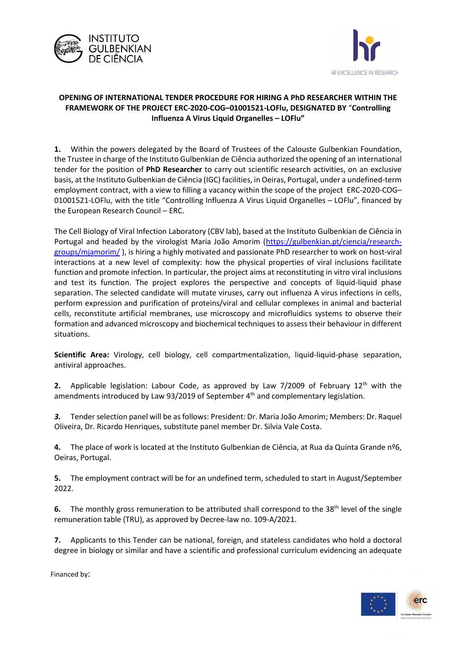



## **OPENING OF INTERNATIONAL TENDER PROCEDURE FOR HIRING A PhD RESEARCHER WITHIN THE FRAMEWORK OF THE PROJECT ERC-2020-COG–01001521-LOFlu, DESIGNATED BY** "**Controlling Influenza A Virus Liquid Organelles – LOFlu"**

**1.** Within the powers delegated by the Board of Trustees of the Calouste Gulbenkian Foundation, the Trustee in charge of the Instituto Gulbenkian de Ciência authorized the opening of an international tender for the position of **PhD Researcher** to carry out scientific research activities, on an exclusive basis, at the Instituto Gulbenkian de Ciência (IGC) facilities, in Oeiras, Portugal, under a undefined-term employment contract, with a view to filling a vacancy within the scope of the project ERC-2020-COG– 01001521-LOFlu, with the title "Controlling Influenza A Virus Liquid Organelles – LOFlu", financed by the European Research Council – ERC.

The Cell Biology of Viral Infection Laboratory (CBV lab), based at the Instituto Gulbenkian de Ciência in Portugal and headed by the virologist Maria João Amorim [\(https://gulbenkian.pt/ciencia/research](https://gulbenkian.pt/ciencia/research-groups/mjamorim/)[groups/mjamorim/](https://gulbenkian.pt/ciencia/research-groups/mjamorim/) ), is hiring a highly motivated and passionate PhD researcher to work on host-viral interactions at a new level of complexity: how the physical properties of viral inclusions facilitate function and promote infection. In particular, the project aims at reconstituting in vitro viral inclusions and test its function. The project explores the perspective and concepts of liquid-liquid phase separation. The selected candidate will mutate viruses, carry out influenza A virus infections in cells, perform expression and purification of proteins/viral and cellular complexes in animal and bacterial cells, reconstitute artificial membranes, use microscopy and microfluidics systems to observe their formation and advanced microscopy and biochemical techniques to assess their behaviour in different situations.

**Scientific Area:** Virology, cell biology, cell compartmentalization, liquid-liquid-phase separation, antiviral approaches.

**2.** Applicable legislation: Labour Code, as approved by Law 7/2009 of February 12<sup>th</sup> with the amendments introduced by Law 93/2019 of September 4<sup>th</sup> and complementary legislation.

*3.* Tender selection panel will be as follows: President: Dr. Maria João Amorim; Members: Dr. Raquel Oliveira, Dr. Ricardo Henriques, substitute panel member Dr. Silvia Vale Costa.

**4.** The place of work is located at the Instituto Gulbenkian de Ciência, at Rua da Quinta Grande nº6, Oeiras, Portugal.

**5.** The employment contract will be for an undefined term, scheduled to start in August/September 2022.

**6.** The monthly gross remuneration to be attributed shall correspond to the 38<sup>th</sup> level of the single remuneration table (TRU), as approved by Decree-law no. 109-A/2021.

**7.** Applicants to this Tender can be national, foreign, and stateless candidates who hold a doctoral degree in biology or similar and have a scientific and professional curriculum evidencing an adequate

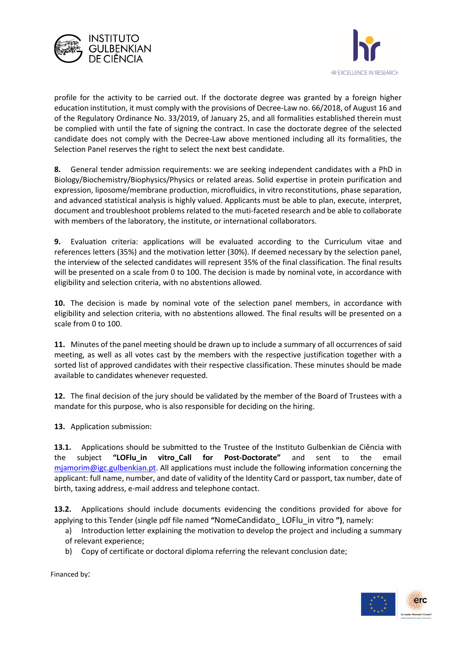



profile for the activity to be carried out. If the doctorate degree was granted by a foreign higher education institution, it must comply with the provisions of Decree-Law no. 66/2018, of August 16 and of the Regulatory Ordinance No. 33/2019, of January 25, and all formalities established therein must be complied with until the fate of signing the contract. In case the doctorate degree of the selected candidate does not comply with the Decree-Law above mentioned including all its formalities, the Selection Panel reserves the right to select the next best candidate.

**8.** General tender admission requirements: we are seeking independent candidates with a PhD in Biology/Biochemistry/Biophysics/Physics or related areas. Solid expertise in protein purification and expression, liposome/membrane production, microfluidics, in vitro reconstitutions, phase separation, and advanced statistical analysis is highly valued. Applicants must be able to plan, execute, interpret, document and troubleshoot problems related to the muti-faceted research and be able to collaborate with members of the laboratory, the institute, or international collaborators.

**9.** Evaluation criteria: applications will be evaluated according to the Curriculum vitae and references letters (35%) and the motivation letter (30%). If deemed necessary by the selection panel, the interview of the selected candidates will represent 35% of the final classification. The final results will be presented on a scale from 0 to 100. The decision is made by nominal vote, in accordance with eligibility and selection criteria, with no abstentions allowed.

**10.** The decision is made by nominal vote of the selection panel members, in accordance with eligibility and selection criteria, with no abstentions allowed. The final results will be presented on a scale from 0 to 100.

**11.** Minutes of the panel meeting should be drawn up to include a summary of all occurrences of said meeting, as well as all votes cast by the members with the respective justification together with a sorted list of approved candidates with their respective classification. These minutes should be made available to candidates whenever requested.

**12.** The final decision of the jury should be validated by the member of the Board of Trustees with a mandate for this purpose, who is also responsible for deciding on the hiring.

**13.** Application submission:

**13.1.** Applications should be submitted to the Trustee of the Instituto Gulbenkian de Ciência with the subject **"LOFlu\_in vitro\_Call for Post-Doctorate"** and sent to the email [mjamorim@igc.gulbenkian.pt.](mailto:mjamorim@igc.gulbenkian.pt) All applications must include the following information concerning the applicant: full name, number, and date of validity of the Identity Card or passport, tax number, date of birth, taxing address, e-mail address and telephone contact.

**13.2.** Applications should include documents evidencing the conditions provided for above for applying to this Tender (single pdf file named **"**NomeCandidato\_ LOFlu\_in vitro **")**, namely:

- a) Introduction letter explaining the motivation to develop the project and including a summary of relevant experience;
- b) Copy of certificate or doctoral diploma referring the relevant conclusion date;

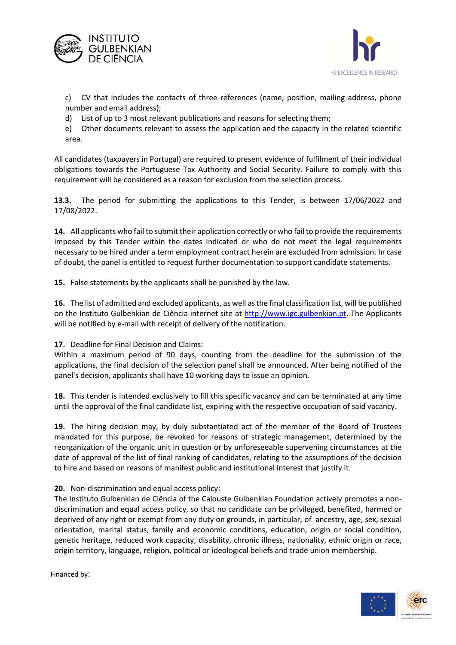



c) CV that includes the contacts of three references (name, position, mailing address, phone number and email address);

d) List of up to 3 most relevant publications and reasons for selecting them;

e) Other documents relevant to assess the application and the capacity in the related scientific area.

All candidates (taxpayers in Portugal) are required to present evidence of fulfilment of their individual obligations towards the Portuguese Tax Authority and Social Security. Failure to comply with this requirement will be considered as a reason for exclusion from the selection process.

**13.3.** The period for submitting the applications to this Tender, is between 17/06/2022 and 17/08/2022.

**14.** All applicants who fail to submit their application correctly or who fail to provide the requirements imposed by this Tender within the dates indicated or who do not meet the legal requirements necessary to be hired under a term employment contract herein are excluded from admission. In case of doubt, the panel is entitled to request further documentation to support candidate statements.

**15.** False statements by the applicants shall be punished by the law.

**16.** The list of admitted and excluded applicants, as well as the final classification list, will be published on the Instituto Gulbenkian de Ciência internet site at [http://www.igc.gulbenkian.pt.](http://www.igc.gulbenkian.pt/) The Applicants will be notified by e-mail with receipt of delivery of the notification.

## **17.** Deadline for Final Decision and Claims:

Within a maximum period of 90 days, counting from the deadline for the submission of the applications, the final decision of the selection panel shall be announced. After being notified of the panel's decision, applicants shall have 10 working days to issue an opinion.

**18.** This tender is intended exclusively to fill this specific vacancy and can be terminated at any time until the approval of the final candidate list, expiring with the respective occupation of said vacancy.

**19.** The hiring decision may, by duly substantiated act of the member of the Board of Trustees mandated for this purpose, be revoked for reasons of strategic management, determined by the reorganization of the organic unit in question or by unforeseeable supervening circumstances at the date of approval of the list of final ranking of candidates, relating to the assumptions of the decision to hire and based on reasons of manifest public and institutional interest that justify it.

## **20.** Non-discrimination and equal access policy:

The Instituto Gulbenkian de Ciência of the Calouste Gulbenkian Foundation actively promotes a nondiscrimination and equal access policy, so that no candidate can be privileged, benefited, harmed or deprived of any right or exempt from any duty on grounds, in particular, of ancestry, age, sex, sexual orientation, marital status, family and economic conditions, education, origin or social condition, genetic heritage, reduced work capacity, disability, chronic illness, nationality, ethnic origin or race, origin territory, language, religion, political or ideological beliefs and trade union membership.